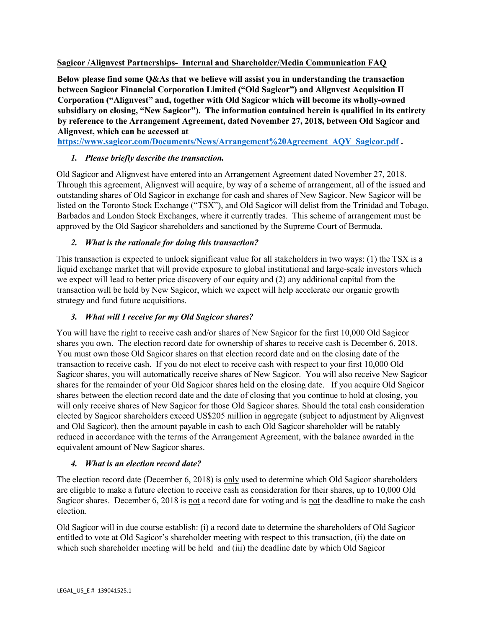## **Sagicor /Alignvest Partnerships- Internal and Shareholder/Media Communication FAQ**

**Below please find some Q&As that we believe will assist you in understanding the transaction between Sagicor Financial Corporation Limited ("Old Sagicor") and Alignvest Acquisition II Corporation ("Alignvest" and, together with Old Sagicor which will become its wholly-owned subsidiary on closing, "New Sagicor"). The information contained herein is qualified in its entirety by reference to the Arrangement Agreement, dated November 27, 2018, between Old Sagicor and Alignvest, which can be accessed at** 

**[https://www.sagicor.com/Documents/News/Arrangement%20Agreement\\_AQY\\_Sagicor.pdf](https://www.sagicor.com/Documents/News/Arrangement%20Agreement_AQY_Sagicor.pdf) .** 

## *1. Please briefly describe the transaction.*

Old Sagicor and Alignvest have entered into an Arrangement Agreement dated November 27, 2018. Through this agreement, Alignvest will acquire, by way of a scheme of arrangement, all of the issued and outstanding shares of Old Sagicor in exchange for cash and shares of New Sagicor. New Sagicor will be listed on the Toronto Stock Exchange ("TSX"), and Old Sagicor will delist from the Trinidad and Tobago, Barbados and London Stock Exchanges, where it currently trades. This scheme of arrangement must be approved by the Old Sagicor shareholders and sanctioned by the Supreme Court of Bermuda.

## *2. What is the rationale for doing this transaction?*

This transaction is expected to unlock significant value for all stakeholders in two ways: (1) the TSX is a liquid exchange market that will provide exposure to global institutional and large-scale investors which we expect will lead to better price discovery of our equity and (2) any additional capital from the transaction will be held by New Sagicor, which we expect will help accelerate our organic growth strategy and fund future acquisitions.

### *3. What will I receive for my Old Sagicor shares?*

You will have the right to receive cash and/or shares of New Sagicor for the first 10,000 Old Sagicor shares you own. The election record date for ownership of shares to receive cash is December 6, 2018. You must own those Old Sagicor shares on that election record date and on the closing date of the transaction to receive cash. If you do not elect to receive cash with respect to your first 10,000 Old Sagicor shares, you will automatically receive shares of New Sagicor. You will also receive New Sagicor shares for the remainder of your Old Sagicor shares held on the closing date. If you acquire Old Sagicor shares between the election record date and the date of closing that you continue to hold at closing, you will only receive shares of New Sagicor for those Old Sagicor shares. Should the total cash consideration elected by Sagicor shareholders exceed US\$205 million in aggregate (subject to adjustment by Alignvest and Old Sagicor), then the amount payable in cash to each Old Sagicor shareholder will be ratably reduced in accordance with the terms of the Arrangement Agreement, with the balance awarded in the equivalent amount of New Sagicor shares.

#### *4. What is an election record date?*

The election record date (December 6, 2018) is only used to determine which Old Sagicor shareholders are eligible to make a future election to receive cash as consideration for their shares, up to 10,000 Old Sagicor shares. December 6, 2018 is not a record date for voting and is not the deadline to make the cash election.

Old Sagicor will in due course establish: (i) a record date to determine the shareholders of Old Sagicor entitled to vote at Old Sagicor's shareholder meeting with respect to this transaction, (ii) the date on which such shareholder meeting will be held and (iii) the deadline date by which Old Sagicor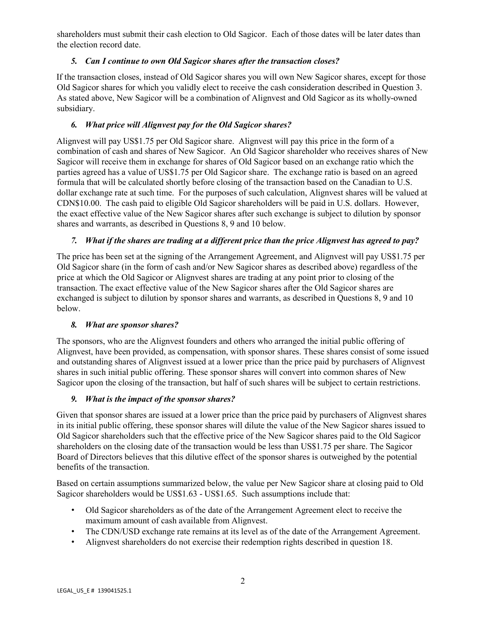shareholders must submit their cash election to Old Sagicor. Each of those dates will be later dates than the election record date.

# *5. Can I continue to own Old Sagicor shares after the transaction closes?*

If the transaction closes, instead of Old Sagicor shares you will own New Sagicor shares, except for those Old Sagicor shares for which you validly elect to receive the cash consideration described in Question 3. As stated above, New Sagicor will be a combination of Alignvest and Old Sagicor as its wholly-owned subsidiary.

## *6. What price will Alignvest pay for the Old Sagicor shares?*

Alignvest will pay US\$1.75 per Old Sagicor share. Alignvest will pay this price in the form of a combination of cash and shares of New Sagicor. An Old Sagicor shareholder who receives shares of New Sagicor will receive them in exchange for shares of Old Sagicor based on an exchange ratio which the parties agreed has a value of US\$1.75 per Old Sagicor share. The exchange ratio is based on an agreed formula that will be calculated shortly before closing of the transaction based on the Canadian to U.S. dollar exchange rate at such time. For the purposes of such calculation, Alignvest shares will be valued at CDN\$10.00. The cash paid to eligible Old Sagicor shareholders will be paid in U.S. dollars. However, the exact effective value of the New Sagicor shares after such exchange is subject to dilution by sponsor shares and warrants, as described in Questions 8, 9 and 10 below.

## *7. What if the shares are trading at a different price than the price Alignvest has agreed to pay?*

The price has been set at the signing of the Arrangement Agreement, and Alignvest will pay US\$1.75 per Old Sagicor share (in the form of cash and/or New Sagicor shares as described above) regardless of the price at which the Old Sagicor or Alignvest shares are trading at any point prior to closing of the transaction. The exact effective value of the New Sagicor shares after the Old Sagicor shares are exchanged is subject to dilution by sponsor shares and warrants, as described in Questions 8, 9 and 10 below.

#### *8. What are sponsor shares?*

The sponsors, who are the Alignvest founders and others who arranged the initial public offering of Alignvest, have been provided, as compensation, with sponsor shares. These shares consist of some issued and outstanding shares of Alignvest issued at a lower price than the price paid by purchasers of Alignvest shares in such initial public offering. These sponsor shares will convert into common shares of New Sagicor upon the closing of the transaction, but half of such shares will be subject to certain restrictions.

#### *9. What is the impact of the sponsor shares?*

Given that sponsor shares are issued at a lower price than the price paid by purchasers of Alignvest shares in its initial public offering, these sponsor shares will dilute the value of the New Sagicor shares issued to Old Sagicor shareholders such that the effective price of the New Sagicor shares paid to the Old Sagicor shareholders on the closing date of the transaction would be less than US\$1.75 per share. The Sagicor Board of Directors believes that this dilutive effect of the sponsor shares is outweighed by the potential benefits of the transaction.

Based on certain assumptions summarized below, the value per New Sagicor share at closing paid to Old Sagicor shareholders would be US\$1.63 - US\$1.65. Such assumptions include that:

- Old Sagicor shareholders as of the date of the Arrangement Agreement elect to receive the maximum amount of cash available from Alignvest.
- The CDN/USD exchange rate remains at its level as of the date of the Arrangement Agreement.
- Alignvest shareholders do not exercise their redemption rights described in question 18.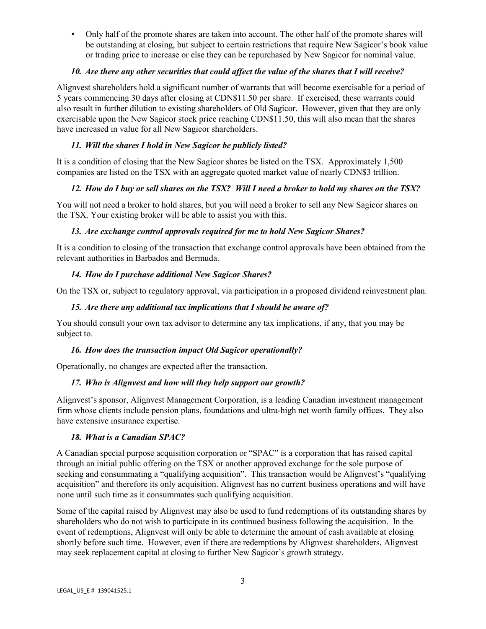• Only half of the promote shares are taken into account. The other half of the promote shares will be outstanding at closing, but subject to certain restrictions that require New Sagicor's book value or trading price to increase or else they can be repurchased by New Sagicor for nominal value.

## *10. Are there any other securities that could affect the value of the shares that I will receive?*

Alignvest shareholders hold a significant number of warrants that will become exercisable for a period of 5 years commencing 30 days after closing at CDN\$11.50 per share. If exercised, these warrants could also result in further dilution to existing shareholders of Old Sagicor. However, given that they are only exercisable upon the New Sagicor stock price reaching CDN\$11.50, this will also mean that the shares have increased in value for all New Sagicor shareholders.

# *11. Will the shares I hold in New Sagicor be publicly listed?*

It is a condition of closing that the New Sagicor shares be listed on the TSX. Approximately 1,500 companies are listed on the TSX with an aggregate quoted market value of nearly CDN\$3 trillion.

# *12. How do I buy or sell shares on the TSX? Will I need a broker to hold my shares on the TSX?*

You will not need a broker to hold shares, but you will need a broker to sell any New Sagicor shares on the TSX. Your existing broker will be able to assist you with this.

# *13. Are exchange control approvals required for me to hold New Sagicor Shares?*

It is a condition to closing of the transaction that exchange control approvals have been obtained from the relevant authorities in Barbados and Bermuda.

# *14. How do I purchase additional New Sagicor Shares?*

On the TSX or, subject to regulatory approval, via participation in a proposed dividend reinvestment plan.

# *15. Are there any additional tax implications that I should be aware of?*

You should consult your own tax advisor to determine any tax implications, if any, that you may be subject to.

# *16. How does the transaction impact Old Sagicor operationally?*

Operationally, no changes are expected after the transaction.

# *17. Who is Alignvest and how will they help support our growth?*

Alignvest's sponsor, Alignvest Management Corporation, is a leading Canadian investment management firm whose clients include pension plans, foundations and ultra-high net worth family offices. They also have extensive insurance expertise.

# *18. What is a Canadian SPAC?*

A Canadian special purpose acquisition corporation or "SPAC" is a corporation that has raised capital through an initial public offering on the TSX or another approved exchange for the sole purpose of seeking and consummating a "qualifying acquisition". This transaction would be Alignvest's "qualifying acquisition" and therefore its only acquisition. Alignvest has no current business operations and will have none until such time as it consummates such qualifying acquisition.

Some of the capital raised by Alignvest may also be used to fund redemptions of its outstanding shares by shareholders who do not wish to participate in its continued business following the acquisition. In the event of redemptions, Alignvest will only be able to determine the amount of cash available at closing shortly before such time. However, even if there are redemptions by Alignvest shareholders, Alignvest may seek replacement capital at closing to further New Sagicor's growth strategy.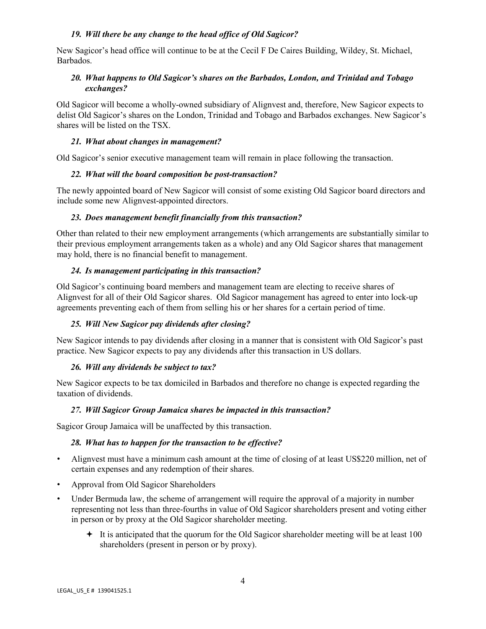## *19. Will there be any change to the head office of Old Sagicor?*

New Sagicor's head office will continue to be at the Cecil F De Caires Building, Wildey, St. Michael, Barbados.

## *20. What happens to Old Sagicor's shares on the Barbados, London, and Trinidad and Tobago exchanges?*

Old Sagicor will become a wholly-owned subsidiary of Alignvest and, therefore, New Sagicor expects to delist Old Sagicor's shares on the London, Trinidad and Tobago and Barbados exchanges. New Sagicor's shares will be listed on the TSX.

#### *21. What about changes in management?*

Old Sagicor's senior executive management team will remain in place following the transaction.

## *22. What will the board composition be post-transaction?*

The newly appointed board of New Sagicor will consist of some existing Old Sagicor board directors and include some new Alignvest-appointed directors.

## *23. Does management benefit financially from this transaction?*

Other than related to their new employment arrangements (which arrangements are substantially similar to their previous employment arrangements taken as a whole) and any Old Sagicor shares that management may hold, there is no financial benefit to management.

## *24. Is management participating in this transaction?*

Old Sagicor's continuing board members and management team are electing to receive shares of Alignvest for all of their Old Sagicor shares. Old Sagicor management has agreed to enter into lock-up agreements preventing each of them from selling his or her shares for a certain period of time.

# *25. Will New Sagicor pay dividends after closing?*

New Sagicor intends to pay dividends after closing in a manner that is consistent with Old Sagicor's past practice. New Sagicor expects to pay any dividends after this transaction in US dollars.

#### *26. Will any dividends be subject to tax?*

New Sagicor expects to be tax domiciled in Barbados and therefore no change is expected regarding the taxation of dividends.

#### *27. Will Sagicor Group Jamaica shares be impacted in this transaction?*

Sagicor Group Jamaica will be unaffected by this transaction.

#### *28. What has to happen for the transaction to be effective?*

- Alignvest must have a minimum cash amount at the time of closing of at least US\$220 million, net of certain expenses and any redemption of their shares.
- Approval from Old Sagicor Shareholders
- Under Bermuda law, the scheme of arrangement will require the approval of a majority in number representing not less than three-fourths in value of Old Sagicor shareholders present and voting either in person or by proxy at the Old Sagicor shareholder meeting.
	- $\div$  It is anticipated that the quorum for the Old Sagicor shareholder meeting will be at least 100 shareholders (present in person or by proxy).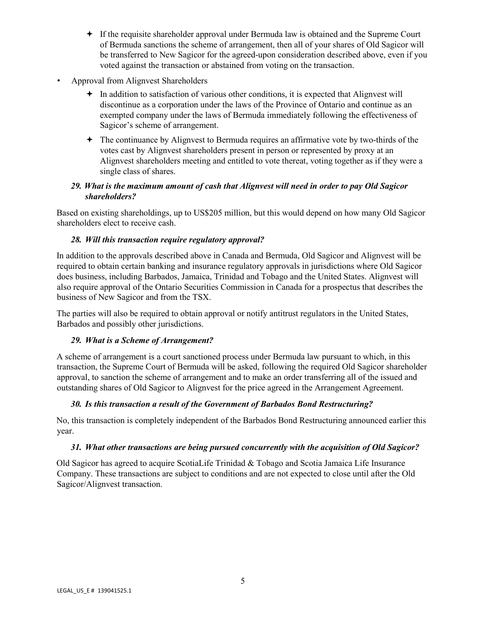- If the requisite shareholder approval under Bermuda law is obtained and the Supreme Court of Bermuda sanctions the scheme of arrangement, then all of your shares of Old Sagicor will be transferred to New Sagicor for the agreed-upon consideration described above, even if you voted against the transaction or abstained from voting on the transaction.
- Approval from Alignvest Shareholders
	- $\div$  In addition to satisfaction of various other conditions, it is expected that Alignvest will discontinue as a corporation under the laws of the Province of Ontario and continue as an exempted company under the laws of Bermuda immediately following the effectiveness of Sagicor's scheme of arrangement.
	- The continuance by Alignvest to Bermuda requires an affirmative vote by two-thirds of the votes cast by Alignvest shareholders present in person or represented by proxy at an Alignvest shareholders meeting and entitled to vote thereat, voting together as if they were a single class of shares.

## *29. What is the maximum amount of cash that Alignvest will need in order to pay Old Sagicor shareholders?*

Based on existing shareholdings, up to US\$205 million, but this would depend on how many Old Sagicor shareholders elect to receive cash.

## *28. Will this transaction require regulatory approval?*

In addition to the approvals described above in Canada and Bermuda, Old Sagicor and Alignvest will be required to obtain certain banking and insurance regulatory approvals in jurisdictions where Old Sagicor does business, including Barbados, Jamaica, Trinidad and Tobago and the United States. Alignvest will also require approval of the Ontario Securities Commission in Canada for a prospectus that describes the business of New Sagicor and from the TSX.

The parties will also be required to obtain approval or notify antitrust regulators in the United States, Barbados and possibly other jurisdictions.

# *29. What is a Scheme of Arrangement?*

A scheme of arrangement is a court sanctioned process under Bermuda law pursuant to which, in this transaction, the Supreme Court of Bermuda will be asked, following the required Old Sagicor shareholder approval, to sanction the scheme of arrangement and to make an order transferring all of the issued and outstanding shares of Old Sagicor to Alignvest for the price agreed in the Arrangement Agreement.

# *30. Is this transaction a result of the Government of Barbados Bond Restructuring?*

No, this transaction is completely independent of the Barbados Bond Restructuring announced earlier this year.

#### *31. What other transactions are being pursued concurrently with the acquisition of Old Sagicor?*

Old Sagicor has agreed to acquire ScotiaLife Trinidad & Tobago and Scotia Jamaica Life Insurance Company. These transactions are subject to conditions and are not expected to close until after the Old Sagicor/Alignvest transaction.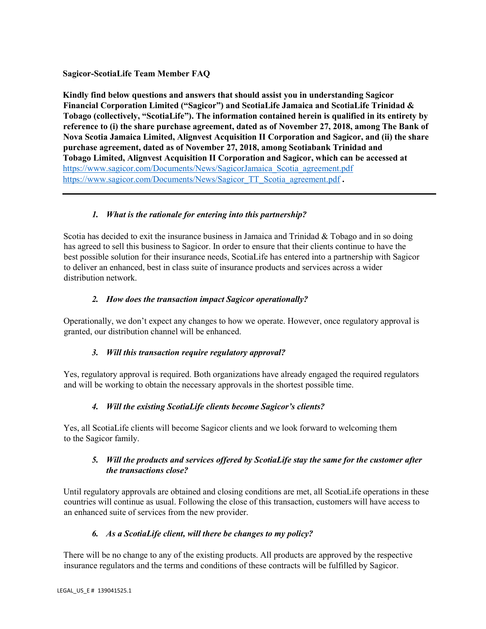## **Sagicor-ScotiaLife Team Member FAQ**

**Kindly find below questions and answers that should assist you in understanding Sagicor Financial Corporation Limited ("Sagicor") and ScotiaLife Jamaica and ScotiaLife Trinidad & Tobago (collectively, "ScotiaLife"). The information contained herein is qualified in its entirety by reference to (i) the share purchase agreement, dated as of November 27, 2018, among The Bank of Nova Scotia Jamaica Limited, Alignvest Acquisition II Corporation and Sagicor, and (ii) the share purchase agreement, dated as of November 27, 2018, among Scotiabank Trinidad and Tobago Limited, Alignvest Acquisition II Corporation and Sagicor, which can be accessed at**  [https://www.sagicor.com/Documents/News/SagicorJamaica\\_Scotia\\_agreement.pdf](https://www.sagicor.com/Documents/News/SagicorJamaica_Scotia_agreement.pdf) [https://www.sagicor.com/Documents/News/Sagicor\\_TT\\_Scotia\\_agreement.pdf](https://www.sagicor.com/Documents/News/Sagicor_TT_Scotia_agreement.pdf) **.** 

# *1. What is the rationale for entering into this partnership?*

Scotia has decided to exit the insurance business in Jamaica and Trinidad & Tobago and in so doing has agreed to sell this business to Sagicor. In order to ensure that their clients continue to have the best possible solution for their insurance needs, ScotiaLife has entered into a partnership with Sagicor to deliver an enhanced, best in class suite of insurance products and services across a wider distribution network.

## *2. How does the transaction impact Sagicor operationally?*

Operationally, we don't expect any changes to how we operate. However, once regulatory approval is granted, our distribution channel will be enhanced.

#### *3. Will this transaction require regulatory approval?*

Yes, regulatory approval is required. Both organizations have already engaged the required regulators and will be working to obtain the necessary approvals in the shortest possible time.

#### *4. Will the existing ScotiaLife clients become Sagicor's clients?*

Yes, all ScotiaLife clients will become Sagicor clients and we look forward to welcoming them to the Sagicor family.

#### *5. Will the products and services offered by ScotiaLife stay the same for the customer after the transactions close?*

Until regulatory approvals are obtained and closing conditions are met, all ScotiaLife operations in these countries will continue as usual. Following the close of this transaction, customers will have access to an enhanced suite of services from the new provider.

#### *6. As a ScotiaLife client, will there be changes to my policy?*

There will be no change to any of the existing products. All products are approved by the respective insurance regulators and the terms and conditions of these contracts will be fulfilled by Sagicor.